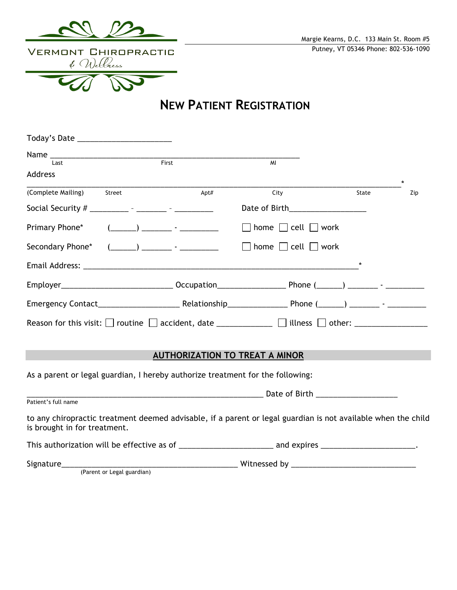

**NEW PATIENT REGISTRATION**

| Today's Date ________________________              |                                                                                                                                                                                                                                                                                                                                                                                                                                                                                 |       |                                                                                                                              |              |
|----------------------------------------------------|---------------------------------------------------------------------------------------------------------------------------------------------------------------------------------------------------------------------------------------------------------------------------------------------------------------------------------------------------------------------------------------------------------------------------------------------------------------------------------|-------|------------------------------------------------------------------------------------------------------------------------------|--------------|
| Last                                               |                                                                                                                                                                                                                                                                                                                                                                                                                                                                                 | First | MI                                                                                                                           |              |
| <b>Address</b>                                     |                                                                                                                                                                                                                                                                                                                                                                                                                                                                                 |       |                                                                                                                              | $\star$      |
| (Complete Mailing)                                 | Street                                                                                                                                                                                                                                                                                                                                                                                                                                                                          | Apt#  | City                                                                                                                         | State<br>Zip |
| Social Security # __________ - _______ - _________ |                                                                                                                                                                                                                                                                                                                                                                                                                                                                                 |       | Date of Birth <b>Exercise 2018</b>                                                                                           |              |
| Primary Phone*                                     | $(\underline{\hspace{1cm}})$ $\underline{\hspace{1cm}}$ $\cdot$ $\underline{\hspace{1cm}}$ $\cdot$ $\underline{\hspace{1cm}}$ $\cdot$ $\underline{\hspace{1cm}}$ $\cdot$ $\underline{\hspace{1cm}}$ $\cdot$ $\underline{\hspace{1cm}}$ $\cdot$ $\underline{\hspace{1cm}}$ $\cdot$ $\underline{\hspace{1cm}}$ $\cdot$ $\underline{\hspace{1cm}}$ $\cdot$ $\underline{\hspace{1cm}}$ $\cdot$ $\underline{\hspace{1cm}}$ $\cdot$ $\underline{\hspace{1cm}}$ $\cdot$ $\underline{\$ |       | $\Box$ home $\Box$ cell $\Box$ work                                                                                          |              |
| Secondary Phone*                                   | $\left(\begin{array}{ccc} \begin{array}{ccc} \end{array}\end{array}\right)$ $\begin{array}{ccc} \end{array}$                                                                                                                                                                                                                                                                                                                                                                    |       | $\Box$ home $\Box$ cell $\Box$ work                                                                                          |              |
|                                                    |                                                                                                                                                                                                                                                                                                                                                                                                                                                                                 |       |                                                                                                                              |              |
|                                                    |                                                                                                                                                                                                                                                                                                                                                                                                                                                                                 |       |                                                                                                                              |              |
|                                                    |                                                                                                                                                                                                                                                                                                                                                                                                                                                                                 |       |                                                                                                                              |              |
|                                                    |                                                                                                                                                                                                                                                                                                                                                                                                                                                                                 |       | Reason for this visit: $\Box$ routine $\Box$ accident, date _____________ $\Box$ illness $\Box$ other: _____________________ |              |
|                                                    |                                                                                                                                                                                                                                                                                                                                                                                                                                                                                 |       | <b>AUTHORIZATION TO TREAT A MINOR</b>                                                                                        |              |
|                                                    |                                                                                                                                                                                                                                                                                                                                                                                                                                                                                 |       | As a parent or legal guardian, I hereby authorize treatment for the following:                                               |              |
|                                                    |                                                                                                                                                                                                                                                                                                                                                                                                                                                                                 |       |                                                                                                                              |              |
| Patient's full name                                |                                                                                                                                                                                                                                                                                                                                                                                                                                                                                 |       |                                                                                                                              |              |
| is brought in for treatment.                       |                                                                                                                                                                                                                                                                                                                                                                                                                                                                                 |       | to any chiropractic treatment deemed advisable, if a parent or legal guardian is not available when the child                |              |
|                                                    |                                                                                                                                                                                                                                                                                                                                                                                                                                                                                 |       |                                                                                                                              |              |

Signature\_\_\_\_\_\_\_\_\_\_\_\_\_\_\_\_\_\_\_\_\_\_\_\_\_\_\_\_\_\_\_\_\_\_\_\_\_\_\_\_\_ Witnessed by \_\_\_\_\_\_\_\_\_\_\_\_\_\_\_\_\_\_\_\_\_\_\_\_\_\_\_\_\_ (Parent or Legal guardian)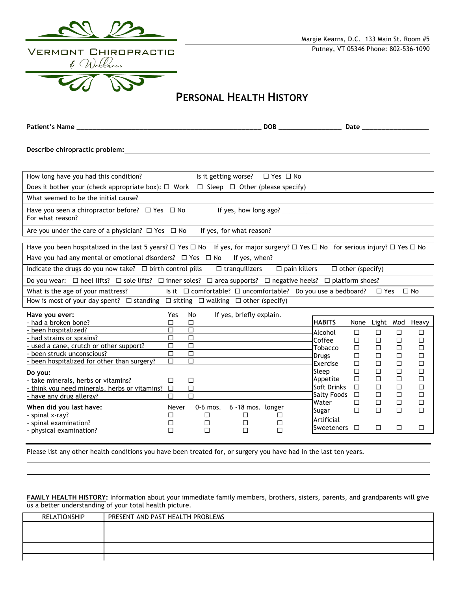

## **PERSONAL HEALTH HISTORY**

**Patient's Name \_\_\_\_\_\_\_\_\_\_\_\_\_\_\_\_\_\_\_\_\_\_\_\_\_\_\_\_\_\_\_\_\_\_\_\_\_\_\_\_\_\_\_\_\_\_\_ DOB \_\_\_\_\_\_\_\_\_\_\_\_\_\_\_\_ Date \_\_\_\_\_\_\_\_\_\_\_\_\_\_\_\_\_**

**Describe chiropractic problem:**

| How long have you had this condition?                                                                                                                         |        | Is it getting worse? |                          | $\Box$ Yes $\Box$ No  |                                 |             |             |        |                 |
|---------------------------------------------------------------------------------------------------------------------------------------------------------------|--------|----------------------|--------------------------|-----------------------|---------------------------------|-------------|-------------|--------|-----------------|
| Does it bother your (check appropriate box): $\Box$ Work $\Box$ Sleep $\Box$ Other (please specify)                                                           |        |                      |                          |                       |                                 |             |             |        |                 |
| What seemed to be the initial cause?                                                                                                                          |        |                      |                          |                       |                                 |             |             |        |                 |
| Have you seen a chiropractor before? $\Box$ Yes $\Box$ No<br>For what reason?                                                                                 |        |                      |                          | If yes, how long ago? |                                 |             |             |        |                 |
| Are you under the care of a physician? $\Box$ Yes $\Box$ No                                                                                                   |        |                      | If yes, for what reason? |                       |                                 |             |             |        |                 |
|                                                                                                                                                               |        |                      |                          |                       |                                 |             |             |        |                 |
| Have you been hospitalized in the last 5 years? $\Box$ Yes $\Box$ No If yes, for major surgery? $\Box$ Yes $\Box$ No for serious injury? $\Box$ Yes $\Box$ No |        |                      |                          |                       |                                 |             |             |        |                 |
| Have you had any mental or emotional disorders? $\Box$ Yes $\Box$ No<br>If yes, when?                                                                         |        |                      |                          |                       |                                 |             |             |        |                 |
| $\Box$ pain killers<br>Indicate the drugs do you now take? $\Box$ birth control pills<br>$\Box$ tranquilizers<br>$\Box$ other (specify)                       |        |                      |                          |                       |                                 |             |             |        |                 |
| Do you wear: $\Box$ heel lifts? $\Box$ sole lifts? $\Box$ inner soles? $\Box$ area supports? $\Box$ negative heels? $\Box$ platform shoes?                    |        |                      |                          |                       |                                 |             |             |        |                 |
| Is it $\Box$ comfortable? $\Box$ uncomfortable? Do you use a bedboard?<br>What is the age of your mattress?<br>$\Box$ No<br>$\Box$ Yes                        |        |                      |                          |                       |                                 |             |             |        |                 |
| How is most of your day spent? $\Box$ standing $\Box$ sitting $\Box$ walking $\Box$ other (specify)                                                           |        |                      |                          |                       |                                 |             |             |        |                 |
|                                                                                                                                                               |        |                      |                          |                       |                                 |             |             |        |                 |
|                                                                                                                                                               | Yes    | No                   |                          |                       |                                 |             |             |        |                 |
| Have you ever:<br>- had a broken bone?                                                                                                                        | П      | П                    | If yes, briefly explain. |                       | <b>HABITS</b>                   | None        |             |        |                 |
| - been hospitalized?                                                                                                                                          | $\Box$ | $\Box$               |                          |                       |                                 |             |             |        | Light Mod Heavy |
|                                                                                                                                                               | $\Box$ | $\Box$               |                          |                       | Alcohol                         | П           | $\Box$      | П      | п               |
| - had strains or sprains?                                                                                                                                     | П      | $\Box$               |                          |                       | Coffee                          | □           | □           | П      | П               |
| - used a cane, crutch or other support?<br>been struck unconscious?                                                                                           | $\Box$ | $\Box$               |                          |                       | Tobacco                         | □           | $\Box$      | П      | П               |
|                                                                                                                                                               | □      | $\Box$               |                          |                       | <b>Drugs</b>                    | □           | □           | □      | □               |
| - been hospitalized for other than surgery?                                                                                                                   |        |                      |                          |                       | Exercise<br>Sleep               | $\Box$<br>□ | □<br>$\Box$ | □<br>□ | □<br>□          |
| Do you:                                                                                                                                                       |        |                      |                          |                       | Appetite                        | $\Box$      | $\Box$      | $\Box$ | П               |
| - take minerals, herbs or vitamins?                                                                                                                           | □      | □                    |                          |                       | Soft Drinks                     | $\Box$      | $\Box$      | $\Box$ | П               |
| - think you need minerals, herbs or vitamins?                                                                                                                 | $\Box$ | $\Box$               |                          |                       |                                 | $\Box$      | П           | П      | п               |
| - have any drug allergy?                                                                                                                                      | П      | $\Box$               |                          |                       | <b>Salty Foods</b><br>Water     | □           | □           | □      | $\Box$          |
| When did you last have:                                                                                                                                       | Never  | $0-6$ mos.           | 6-18 mos. longer         |                       | Sugar                           | $\Box$      | $\Box$      | $\Box$ | $\Box$          |
| - spinal x-ray?                                                                                                                                               | ப      | ப                    | ப                        | □                     |                                 |             |             |        |                 |
| - spinal examination?<br>- physical examination?                                                                                                              | П<br>П | $\Box$<br>$\Box$     | □<br>П                   | □<br>П                | Artificial<br><b>Sweeteners</b> | П           | $\Box$      | П      | Л               |

Please list any other health conditions you have been treated for, or surgery you have had in the last ten years.

**FAMILY HEALTH HISTORY:** Information about your immediate family members, brothers, sisters, parents, and grandparents will give us a better understanding of your total health picture.

| RELATIONSHIP | PRESENT AND PAST HEALTH PROBLEMS |
|--------------|----------------------------------|
|              |                                  |
|              |                                  |
|              |                                  |
|              |                                  |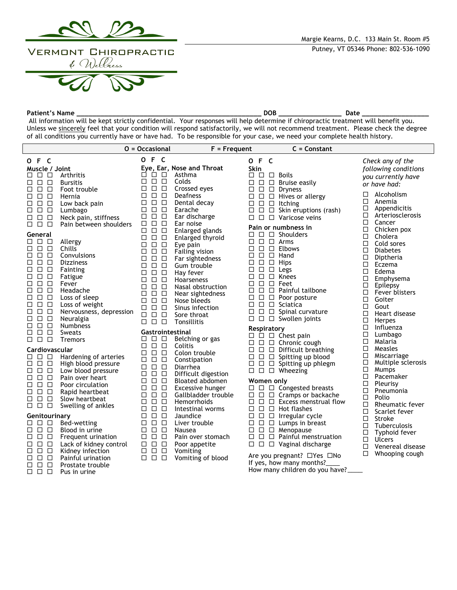

**Patient's Name \_\_\_\_\_\_\_\_\_\_\_\_\_\_\_\_\_\_\_\_\_\_\_\_\_\_\_\_\_\_\_\_\_\_\_\_\_\_\_\_\_\_\_\_\_\_\_ DOB \_\_\_\_\_\_\_\_\_\_\_\_\_\_\_\_ Date \_\_\_\_\_\_\_\_\_\_\_\_\_\_\_\_\_** All information will be kept strictly confidential. Your responses will help determine if chiropractic treatment will benefit you. Unless we sincerely feel that your condition will respond satisfactorily, we will not recommend treatment. Please check the degree of all conditions you currently have or have had. To be responsible for your case, we need your complete health history.

|                                       |                                 | $0 = Occasional$                                    | $F = Frequent$               | $C =$ Constant                                                                              |                               |
|---------------------------------------|---------------------------------|-----------------------------------------------------|------------------------------|---------------------------------------------------------------------------------------------|-------------------------------|
| O F C                                 |                                 | O F C                                               |                              | O F C                                                                                       | Check any of the              |
| Muscle / Joint                        |                                 |                                                     | Eye, Ear, Nose and Throat    | <b>Skin</b>                                                                                 | following conditions          |
| 88 S S                                | Arthritis                       | 8888                                                | Asthma                       | <b>Boils</b><br>$\Box$ $\Box$ $\Box$                                                        | you currently have            |
|                                       | <b>Bursitis</b>                 | $\Box$ $\Box$ $\Box$                                | Colds                        | $\Box$ $\Box$ $\Box$ Bruise easily                                                          | or have had:                  |
|                                       | Foot trouble                    | $\Box$<br>$\Box$<br>$\Box$                          | Crossed eyes                 | $\square$ Dryness<br>$\Box$ $\Box$                                                          | Alcoholism                    |
|                                       | Hernia                          | $\Box$<br>$\Box$<br>$\Box$                          | Deafness                     | $\square$ $\square$ $\square$ Hives or allergy                                              | □<br>□                        |
| 88 S S                                | Low back pain                   | □<br>$\Box$<br>$\Box$                               | Dental decay                 | $\square$ $\square$ $\square$ Itching                                                       | Anemia<br>□<br>Appendicitis   |
| $\Box$ $\Box$<br>□                    | Lumbago                         | $\Box$<br>$\Box$<br>$\Box$                          | Earache                      | $\Box$ Skin eruptions (rash)<br>$\Box$ $\Box$                                               | Arteriosclerosis<br>□         |
| $\Box$ $\Box$ $\Box$                  | Neck pain, stiffness            | $\Box$<br>$\Box$<br>□<br>$\Box$<br>$\Box$<br>$\Box$ | Ear discharge<br>Ear noise   | $\square$ $\square$ $\square$ Varicose veins                                                | □<br>Cancer                   |
| $\Box$ $\Box$ $\Box$                  | Pain between shoulders          | $\Box$<br>$\Box$<br>$\Box$                          | Enlarged glands              | Pain or numbness in                                                                         | □<br>Chicken pox              |
| General                               |                                 | $\Box$<br>$\Box$<br>$\Box$                          | Enlarged thyroid             | $\Box$ $\Box$ Shoulders                                                                     | □<br>Cholera                  |
| $\Box$ $\Box$ $\Box$                  | Allergy                         | $\Box$<br>$\Box$<br>□                               | Eye pain                     | $\Box$ $\Box$ $\Box$ Arms                                                                   | $\Box$<br>Cold sores          |
|                                       | Chills                          | $\Box$<br>$\Box$<br>$\Box$                          | Failing vision               | $\Box$<br>$\Box$ Elbows<br>□                                                                | $\Box$<br><b>Diabetes</b>     |
| $\Box$ $\Box$ $\Box$                  | Convulsions                     | □<br>$\Box$<br>$\Box$                               | Far sightedness              | □<br>$\Box$<br>$\square$ Hand                                                               | $\Box$<br>Diptheria           |
| $\Box$ $\Box$<br>□                    | <b>Dizziness</b>                | $\Box$<br>$\Box$<br>$\Box$                          | Gum trouble                  | $\Box$<br>$\square$ Hips<br>□                                                               | □<br>Eczema                   |
| $\Box$ $\Box$<br>□                    | Fainting                        | □<br>$\Box$<br>$\Box$                               | Hay fever                    | □<br>$\Box$<br>$\Box$<br>Legs                                                               | □<br>Edema                    |
| $\Box$<br>$\Box$<br>□                 | Fatigue                         | $\Box$<br>$\Box$<br>□                               | <b>Hoarseness</b>            | $\Box$<br>□<br>$\Box$<br>Knees                                                              | □<br>Emphysema                |
| $\Box$ $\Box$<br>□                    | Fever                           | $\Box$<br>$\Box$<br>$\Box$                          | Nasal obstruction            | □<br>$\Box$<br>$\Box$ Feet                                                                  | □<br>Epilepsy                 |
| $\Box$ $\Box$ $\Box$<br>$\Box$ $\Box$ | Headache                        | $\Box$<br>$\Box$<br>$\Box$                          | Near sightedness             | $\Box$<br>□<br>$\Box$ Painful tailbone<br>$\Box$                                            | □<br>Fever blisters           |
| □<br>$\Box$ $\Box$<br>□               | Loss of sleep<br>Loss of weight | $\Box$<br>$\Box$<br>$\Box$                          | Nose bleeds                  | $\square$ Poor posture<br>□<br>$\square$ $\square$ $\square$ Sciatica                       | $\Box$<br>Goiter              |
| $\Box$ $\Box$<br>□                    | Nervousness, depression         | $\Box$<br>□<br>$\Box$                               | Sinus infection              | $\Box$<br>$\Box$ Spinal curvature<br>□                                                      | □<br>Gout                     |
| $\Box$ $\Box$<br>□                    | Neuralgia                       | $\Box$<br>$\Box$<br>$\Box$                          | Sore throat                  | $\Box$<br>$\Box$ Swollen joints<br>□                                                        | $\Box$<br>Heart disease       |
| $\Box$ $\Box$ $\Box$                  | <b>Numbness</b>                 | $\Box$<br>$\Box$ $\Box$                             | Tonsillitis                  |                                                                                             | $\Box$<br>Herpes              |
| $\Box$<br>$\Box$<br>□                 | Sweats                          | Gastrointestinal                                    |                              | Respiratory                                                                                 | $\Box$<br>Influenza<br>$\Box$ |
| $\Box$ $\Box$<br>$\Box$               | Tremors                         | □<br>□□                                             | Belching or gas              | $\Box$ $\Box$ $\Box$ Chest pain                                                             | Lumbago<br>$\Box$<br>Malaria  |
|                                       |                                 | $\Box$<br>$\Box$<br>□                               | Colitis                      | $\Box$ $\Box$ $\Box$ Chronic cough                                                          | Measles<br>□                  |
| Cardiovascular<br>000                 | Hardening of arteries           | $\Box$<br>$\Box$<br>□                               | Colon trouble                | $\square$ $\square$ $\square$ Difficult breathing<br>$\Box$ $\Box$ $\Box$ Spitting up blood | Miscarriage<br>□              |
| $\Box$ $\Box$ $\Box$                  | High blood pressure             | □<br>$\Box$<br>$\Box$                               | Constipation                 | $\Box$<br>□ Spitting up phlegm<br>□                                                         | $\Box$<br>Multiple sclerosis  |
| $\Box$ $\Box$<br>□                    | Low blood pressure              | $\Box$<br>$\Box$<br>$\Box$                          | Diarrhea                     | $\Box$ $\Box$ Wheezing                                                                      | $\Box$<br>Mumps               |
| 88 B B                                | Pain over heart                 | $\Box$<br>$\Box$<br>$\Box$                          | Difficult digestion          |                                                                                             | $\Box$<br>Pacemaker           |
| $\Box$ $\Box$<br>□                    | Poor circulation                | $\Box$<br>$\Box$<br>$\Box$                          | Bloated abdomen              | Women only                                                                                  | □<br>Pleurisy                 |
| □<br>$\Box$ $\Box$                    | Rapid heartbeat                 | $\Box$<br>$\Box$<br>$\Box$                          | Excessive hunger             | $\Box$ $\Box$ Congested breasts                                                             | □<br>Pneumonia                |
| $\Box$<br>$\Box$<br>□                 | Slow heartbeat                  | $\Box$<br>$\Box$<br>□<br>$\Box$<br>$\Box$<br>$\Box$ | Gallbladder trouble          | $\Box$ $\Box$ $\Box$ Cramps or backache                                                     | $\Box$<br>Polio               |
| $\Box$ $\Box$ $\Box$                  | Swelling of ankles              | $\Box$                                              | Hemorrhoids                  | $\Box$ $\Box$ $\Box$ Excess menstrual flow                                                  | $\Box$<br>Rheumatic fever     |
|                                       |                                 | □<br>□<br>$\Box$<br>$\Box$<br>$\Box$                | Intestinal worms<br>Jaundice | $\Box$<br>$\Box$<br>$\Box$ Hot flashes<br>□<br>$\Box$                                       | □<br>Scarlet fever            |
| Genitourinary<br>88 S S               | Bed-wetting                     | $\Box$<br>$\Box$<br>$\Box$                          | Liver trouble                | $\Box$ Irregular cycle<br>$\Box$<br>$\Box$<br>$\Box$ Lumps in breast                        | □<br>Stroke                   |
|                                       | Blood in urine                  | $\Box$<br>$\Box$<br>□                               | Nausea                       | $\square$ $\square$ $\square$ Menopause                                                     | □<br>Tuberculosis             |
| 000                                   | Frequent urination              | $\Box$<br>$\Box$<br>□                               | Pain over stomach            | $\Box$<br>$\Box$ Painful menstruation                                                       | $\Box$<br>Typhoid fever       |
| $\Box$ $\Box$<br>□                    | Lack of kidney control          | $\Box$<br>$\Box$<br>$\Box$                          | Poor appetite                | $\Box$ $\Box$ $\Box$ Vaginal discharge                                                      | $\Box$<br><b>Ulcers</b>       |
| $\Box$ $\Box$<br>□                    | Kidney infection                | $\Box$<br>$\Box$<br>$\Box$                          | Vomiting                     |                                                                                             | □<br>Venereal disease         |
| $\Box$ $\Box$<br>□                    | Painful urination               | □<br>$\Box$<br>□                                    | Vomiting of blood            | Are you pregnant? □Yes □No                                                                  | □<br>Whooping cough           |
| 88 B B                                | Prostate trouble                |                                                     |                              | If yes, how many months?                                                                    |                               |
| n n n                                 | Pus in urine                    |                                                     |                              | How many children do you have?                                                              |                               |

- $\Box$   $\Box$   $\Box$  Pus in urine
-